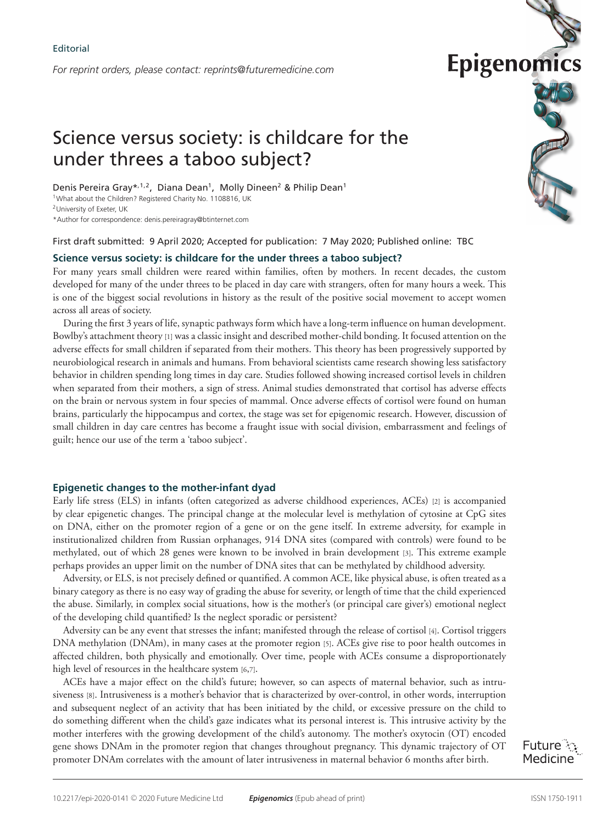*For reprint orders, please contact: reprints@futuremedicine.com*

# Science versus society: is childcare for the under threes a taboo subject?

Denis Pereira Gray\*,<sup>1,2</sup>, Diana Dean<sup>1</sup>, Molly Dineen<sup>2</sup> & Philip Dean<sup>1</sup>

<sup>1</sup>What about the Children? Registered Charity No. 1108816, UK

2University of Exeter, UK

\*Author for correspondence: denis.pereiragray@btinternet.com

First draft submitted: 9 April 2020; Accepted for publication: 7 May 2020; Published online: TBC

# **Science versus society: is childcare for the under threes a taboo subject?**

For many years small children were reared within families, often by mothers. In recent decades, the custom developed for many of the under threes to be placed in day care with strangers, often for many hours a week. This is one of the biggest social revolutions in history as the result of the positive social movement to accept women across all areas of society.

During the first 3 years of life, synaptic pathways form which have a long-term influence on human development. Bowlby's attachment theory [1] was a classic insight and described mother-child bonding. It focused attention on the adverse effects for small children if separated from their mothers. This theory has been progressively supported by neurobiological research in animals and humans. From behavioral scientists came research showing less satisfactory behavior in children spending long times in day care. Studies followed showing increased cortisol levels in children when separated from their mothers, a sign of stress. Animal studies demonstrated that cortisol has adverse effects on the brain or nervous system in four species of mammal. Once adverse effects of cortisol were found on human brains, particularly the hippocampus and cortex, the stage was set for epigenomic research. However, discussion of small children in day care centres has become a fraught issue with social division, embarrassment and feelings of guilt; hence our use of the term a 'taboo subject'.

# **Epigenetic changes to the mother-infant dyad**

Early life stress (ELS) in infants (often categorized as adverse childhood experiences, ACEs) [2] is accompanied by clear epigenetic changes. The principal change at the molecular level is methylation of cytosine at CpG sites on DNA, either on the promoter region of a gene or on the gene itself. In extreme adversity, for example in institutionalized children from Russian orphanages, 914 DNA sites (compared with controls) were found to be methylated, out of which 28 genes were known to be involved in brain development [3]. This extreme example perhaps provides an upper limit on the number of DNA sites that can be methylated by childhood adversity.

Adversity, or ELS, is not precisely defined or quantified. A common ACE, like physical abuse, is often treated as a binary category as there is no easy way of grading the abuse for severity, or length of time that the child experienced the abuse. Similarly, in complex social situations, how is the mother's (or principal care giver's) emotional neglect of the developing child quantified? Is the neglect sporadic or persistent?

Adversity can be any event that stresses the infant; manifested through the release of cortisol [4]. Cortisol triggers DNA methylation (DNAm), in many cases at the promoter region [5]. ACEs give rise to poor health outcomes in affected children, both physically and emotionally. Over time, people with ACEs consume a disproportionately high level of resources in the healthcare system [6,7].

ACEs have a major effect on the child's future; however, so can aspects of maternal behavior, such as intrusiveness [8]. Intrusiveness is a mother's behavior that is characterized by over-control, in other words, interruption and subsequent neglect of an activity that has been initiated by the child, or excessive pressure on the child to do something different when the child's gaze indicates what its personal interest is. This intrusive activity by the mother interferes with the growing development of the child's autonomy. The mother's oxytocin (OT) encoded gene shows DNAm in the promoter region that changes throughout pregnancy. This dynamic trajectory of OT promoter DNAm correlates with the amount of later intrusiveness in maternal behavior 6 months after birth.



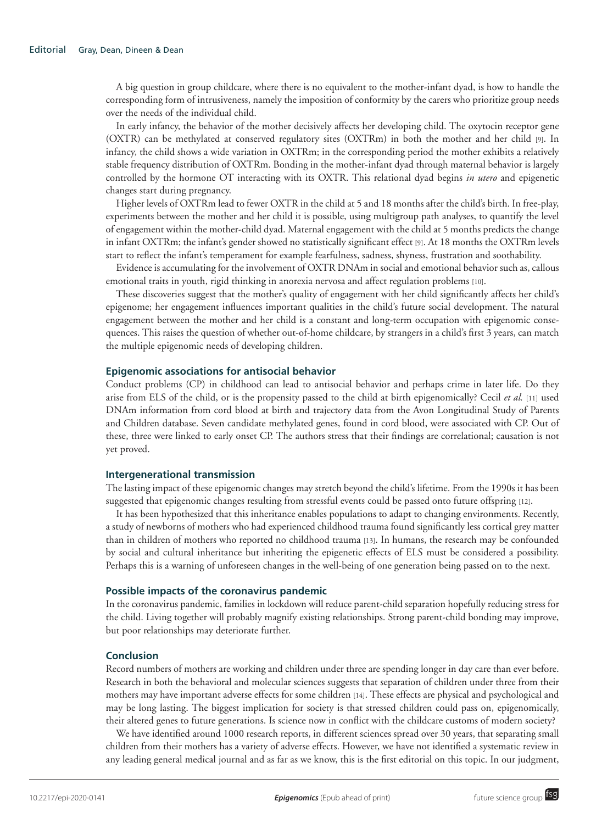A big question in group childcare, where there is no equivalent to the mother-infant dyad, is how to handle the corresponding form of intrusiveness, namely the imposition of conformity by the carers who prioritize group needs over the needs of the individual child.

In early infancy, the behavior of the mother decisively affects her developing child. The oxytocin receptor gene (OXTR) can be methylated at conserved regulatory sites (OXTRm) in both the mother and her child [9]. In infancy, the child shows a wide variation in OXTRm; in the corresponding period the mother exhibits a relatively stable frequency distribution of OXTRm. Bonding in the mother-infant dyad through maternal behavior is largely controlled by the hormone OT interacting with its OXTR. This relational dyad begins *in utero* and epigenetic changes start during pregnancy.

Higher levels of OXTRm lead to fewer OXTR in the child at 5 and 18 months after the child's birth. In free-play, experiments between the mother and her child it is possible, using multigroup path analyses, to quantify the level of engagement within the mother-child dyad. Maternal engagement with the child at 5 months predicts the change in infant OXTRm; the infant's gender showed no statistically significant effect [9]. At 18 months the OXTRm levels start to reflect the infant's temperament for example fearfulness, sadness, shyness, frustration and soothability.

Evidence is accumulating for the involvement of OXTR DNAm in social and emotional behavior such as, callous emotional traits in youth, rigid thinking in anorexia nervosa and affect regulation problems [10].

These discoveries suggest that the mother's quality of engagement with her child significantly affects her child's epigenome; her engagement influences important qualities in the child's future social development. The natural engagement between the mother and her child is a constant and long-term occupation with epigenomic consequences. This raises the question of whether out-of-home childcare, by strangers in a child's first 3 years, can match the multiple epigenomic needs of developing children.

## **Epigenomic associations for antisocial behavior**

Conduct problems (CP) in childhood can lead to antisocial behavior and perhaps crime in later life. Do they arise from ELS of the child, or is the propensity passed to the child at birth epigenomically? Cecil *et al.* [11] used DNAm information from cord blood at birth and trajectory data from the Avon Longitudinal Study of Parents and Children database. Seven candidate methylated genes, found in cord blood, were associated with CP. Out of these, three were linked to early onset CP. The authors stress that their findings are correlational; causation is not yet proved.

### **Intergenerational transmission**

The lasting impact of these epigenomic changes may stretch beyond the child's lifetime. From the 1990s it has been suggested that epigenomic changes resulting from stressful events could be passed onto future offspring [12].

It has been hypothesized that this inheritance enables populations to adapt to changing environments. Recently, a study of newborns of mothers who had experienced childhood trauma found significantly less cortical grey matter than in children of mothers who reported no childhood trauma [13]. In humans, the research may be confounded by social and cultural inheritance but inheriting the epigenetic effects of ELS must be considered a possibility. Perhaps this is a warning of unforeseen changes in the well-being of one generation being passed on to the next.

### **Possible impacts of the coronavirus pandemic**

In the coronavirus pandemic, families in lockdown will reduce parent-child separation hopefully reducing stress for the child. Living together will probably magnify existing relationships. Strong parent-child bonding may improve, but poor relationships may deteriorate further.

### **Conclusion**

Record numbers of mothers are working and children under three are spending longer in day care than ever before. Research in both the behavioral and molecular sciences suggests that separation of children under three from their mothers may have important adverse effects for some children [14]. These effects are physical and psychological and may be long lasting. The biggest implication for society is that stressed children could pass on, epigenomically, their altered genes to future generations. Is science now in conflict with the childcare customs of modern society?

We have identified around 1000 research reports, in different sciences spread over 30 years, that separating small children from their mothers has a variety of adverse effects. However, we have not identified a systematic review in any leading general medical journal and as far as we know, this is the first editorial on this topic. In our judgment,